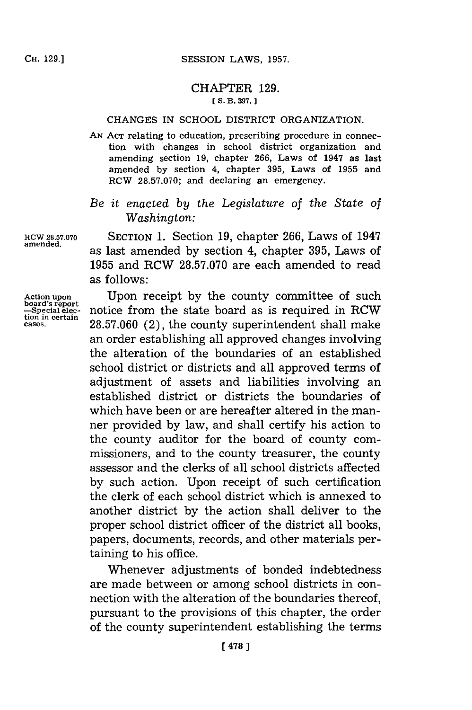## CHAPTER **129. [ S. B. 397.1**

#### **CHANGES** IN **SCHOOL** DISTRICT ORGANIZATION.

**AN ACT** relating to education, prescribing procedure in connection with changes in school district organization and amending section **19,** chapter **266,** Laws of 1947 as last amended **by** section 4, chapter **395,** Laws of **1955** and RCW **28.57.070;** and declaring an emergency.

# *Be it enacted by the Legislature of the State of Washington:*

**Action upon board's report -Special election in certain cases.**

RCW **28.57.070** SECTION **1.** Section **19,** chapter **266,** Laws of 1947 as last amended by section 4, chapter 395, Laws of **1955** and RCW **28.57.070** are each amended to read as follows:

> Upon receipt **by** the county committee of such notice from the state board as is required in RCW **28.57.060** (2), the county superintendent shall make an order establishing all approved changes involving the alteration of the boundaries of an established school district or districts and all approved terms of adjustment of assets and liabilities involving an established district or districts the boundaries of which have been or are hereafter altered in the manner provided **by** law, and shall certify his action to the county auditor for the board of county commissioners, and to the county treasurer, the county assessor and the clerks of all school districts affected **by** such action. Upon receipt of such certification the clerk of each school district which is annexed to another district **by** the action shall deliver to the proper school district officer of the district all books, papers, documents, records, and other materials pertaining to his office.

Whenever adjustments of bonded indebtedness are made between or among school districts in connection with the alteration of the boundaries thereof, pursuant to the provisions of this chapter, the order of the county superintendent establishing the terms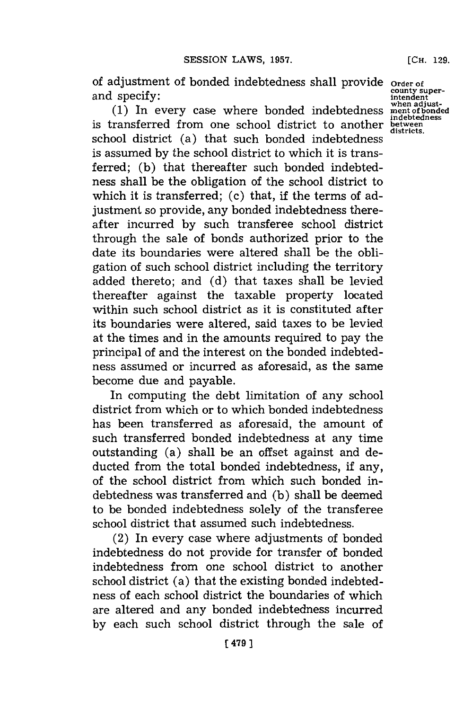of adjustment of bonded indebtedness shall provide order of

**county super-**<br>and specify:<br>(1) In every case where bonded indebtedness when adjust-<br>intendent when adjust-<br>indebtedness **when adjust- (1)** In every case where bonded indebtedness **mentofbonded** is transferred from one school district to another **between** school district (a) that such bonded indebtedness is assumed **by** the school district to which it is transferred; **(b)** that thereafter such bonded indebtedness shall be the obligation of the school district to which it is transferred; (c) that, **if** the terms of adjustment so provide, any bonded indebtedness thereafter incurred **by** such transferee school district through the sale of bonds authorized prior to the date its boundaries were altered shall be the obligation of such school district including the territory added thereto; and **(d)** that taxes shall be levied thereafter against the taxable property located within such school district as it is constituted after its boundaries were altered, said taxes to be levied at the times and in the amounts required to pay the principal of and the interest on the bonded indebtedness assumed or incurred as aforesaid, as the same become due and payable.

In computing the debt limitation of any school district from which or to which bonded indebtedness has been transferred as aforesaid, the amount of such transferred bonded indebtedness at any time outstanding (a) shall be an offset against and deducted from the total bonded indebtedness, if any, of the school district from which such bonded indebtedness was transferred and **(b)** shall be deemed to be bonded indebtedness solely of the transferee school district that assumed such indebtedness.

(2) In every case where adjustments of bonded indebtedness do not provide for transfer of bonded indebtedness from one school district to another school district (a) that the existing bonded indebtedness of each school district the boundaries of which are altered and any bonded indebtedness incurred **by** each such school district through the sale of

**districts.**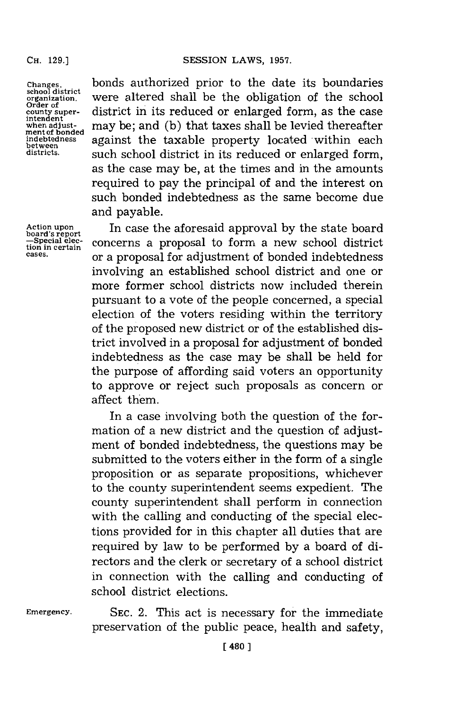#### SESSION LAWS, 1957.

**CH. 129.]**

**Changes, school district organization. Order of county super- intendent when adjustment of bonded indebtedness between districts.**

**Action upon board's report -Special election in certain cases.** bonds authorized prior to the date its boundaries were altered shall be the obligation of the school district in its reduced or enlarged form, as the case may be; and **(b)** that taxes shall be levied thereafter against the taxable property located within each such school district in its reduced or enlarged form, as the case may be, at the times and in the amounts required to pay the principal of and the interest on such bonded indebtedness as the same become due and payable.

In case the aforesaid approval **by** the state board concerns a proposal to form a new school district or a proposal for adjustment of bonded indebtedness involving an established school district and one or more former school districts now included therein pursuant to a vote of the people concerned, a special election of the voters residing within the territory of the proposed new district or of the established district involved in a proposal for adjustment of bonded indebtedness as the case may be shall be held for the purpose of affording said voters an opportunity to approve or reject such proposals as concern or affect them.

In a case involving both the question of the formation of a new district and the question of adjustment of bonded indebtedness, the questions may be submitted to the voters either in the form of a single proposition or as separate propositions, whichever to the county superintendent seems expedient. The county superintendent shall perform in connection with the calling and conducting of the special elections provided for in this chapter all duties that are required **by** law to be performed **by** a board of directors and the clerk or secretary of a school district in connection with the calling and conducting of school district elections.

**Emergency.**

**SEC.** 2. This act is necessary for the immediate preservation of the public peace, health and safety,